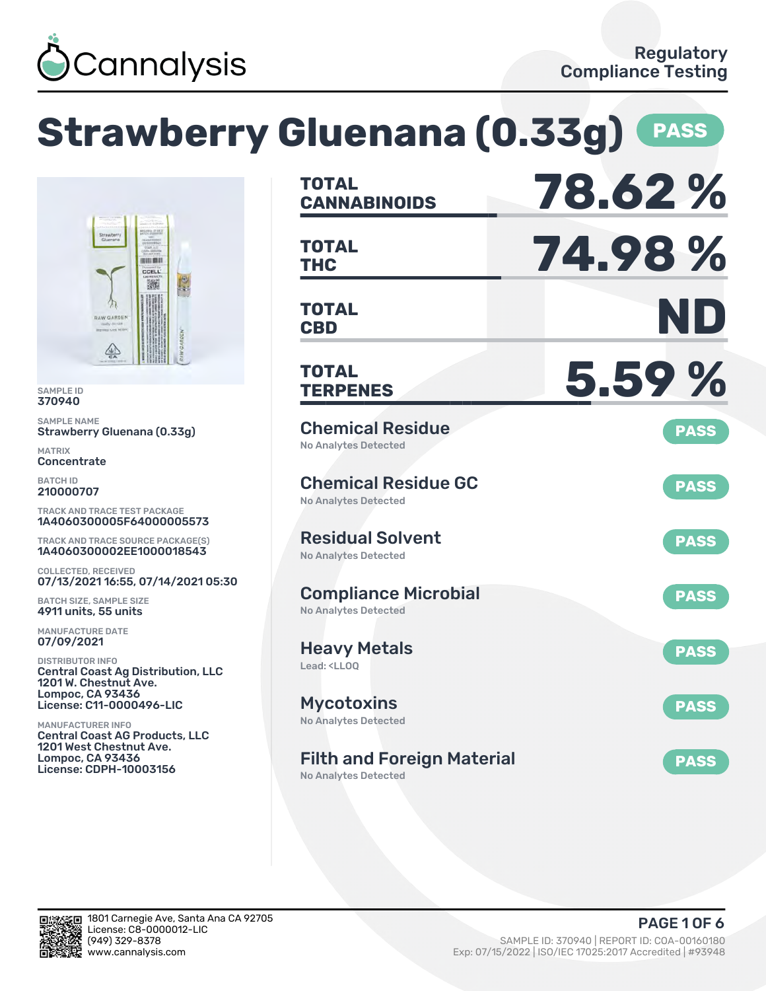

#### **Strawberry Gluenana (0.33g) PASS CANNABINOIDS 78.62 % TOTAL THC 74.98 % TOTAL HULLER** CCELL 臟 **CBD ND TOTAL** 坐 **TERPENES 5.59 % TOTAL** SAMPLE ID SAMPLE NAME Chemical Residue **PASS** Strawberry Gluenana (0.33g) No Analytes Detected **Concentrate** Chemical Residue GC **PASS** 210000707 No Analytes Detected TRACK AND TRACE TEST PACKAGE 1A4060300005F64000005573 Residual Solvent TRACK AND TRACE SOURCE PACKAGE(S) **PASS** 1A4060300002EE1000018543 No Analytes Detected COLLECTED, RECEIVED 07/13/2021 16:55, 07/14/2021 05:30 Compliance Microbial **PASS** BATCH SIZE, SAMPLE SIZE 4911 units, 55 units No Analytes Detected MANUFACTURE DATE 07/09/2021 Heavy Metals **PASS** DISTRIBUTOR INFO Lead: <LLOQ Central Coast Ag Distribution, LLC 1201 W. Chestnut Ave. Lompoc, CA 93436 License: C11-0000496-LIC Mycotoxins **PASS** No Analytes Detected MANUFACTURER INFO Central Coast AG Products, LLC 1201 West Chestnut Ave. Lompoc, CA 93436 Filth and Foreign Material **PASS** License: CDPH-10003156 No Analytes Detected

370940

MATRIX

BATCH ID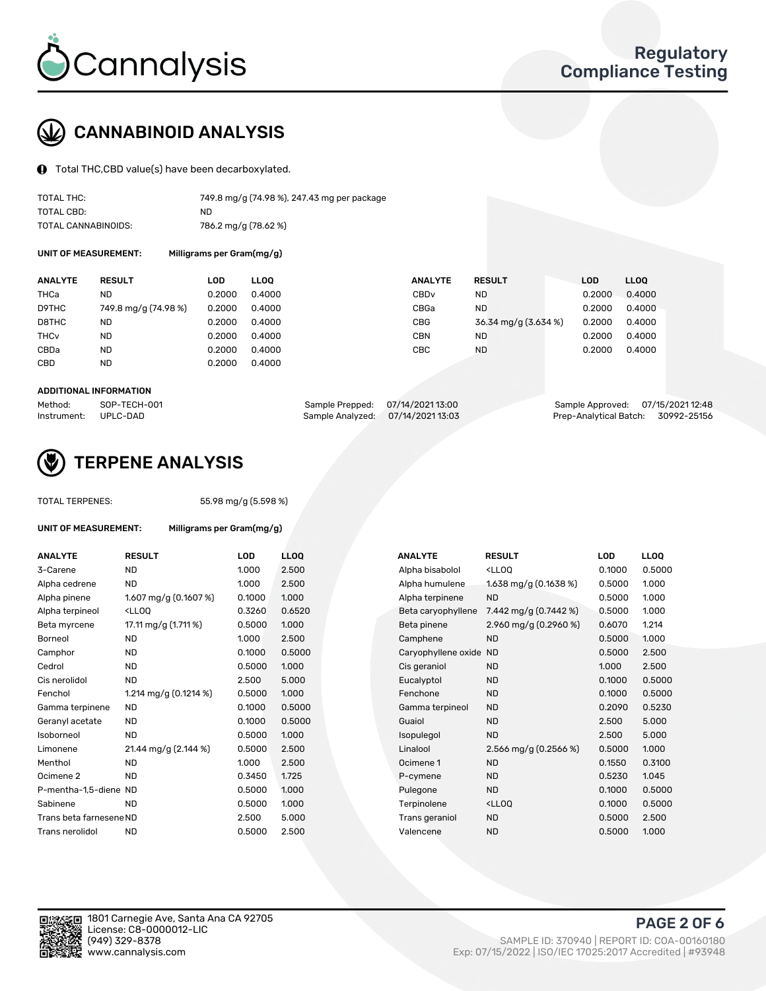

# CANNABINOID ANALYSIS

Total THC,CBD value(s) have been decarboxylated.

| TOTAL THC:          | 749.8 mg/g (74.98 %), 247.43 mg per package |
|---------------------|---------------------------------------------|
| TOTAL CBD:          | ND.                                         |
| TOTAL CANNABINOIDS: | 786.2 mg/g (78.62 %)                        |

UNIT OF MEASUREMENT: Milligrams per Gram(mg/g)

| <b>ANALYTE</b>         | <b>RESULT</b>        | LOD    | <b>LLOO</b> | <b>ANALYTE</b>   | <b>RESULT</b>        | LOD    | LL <sub>00</sub> |
|------------------------|----------------------|--------|-------------|------------------|----------------------|--------|------------------|
| THCa                   | <b>ND</b>            | 0.2000 | 0.4000      | CBD <sub>v</sub> | <b>ND</b>            | 0.2000 | 0.4000           |
| D9THC                  | 749.8 mg/g (74.98 %) | 0.2000 | 0.4000      | CBGa             | <b>ND</b>            | 0.2000 | 0.4000           |
| D8THC                  | <b>ND</b>            | 0.2000 | 0.4000      | <b>CBG</b>       | 36.34 mg/g (3.634 %) | 0.2000 | 0.4000           |
| <b>THC<sub>v</sub></b> | <b>ND</b>            | 0.2000 | 0.4000      | <b>CBN</b>       | <b>ND</b>            | 0.2000 | 0.4000           |
| CBDa                   | <b>ND</b>            | 0.2000 | 0.4000      | CBC              | <b>ND</b>            | 0.2000 | 0.4000           |
| CBD                    | <b>ND</b>            | 0.2000 | 0.4000      |                  |                      |        |                  |
|                        |                      |        |             |                  |                      |        |                  |

#### ADDITIONAL INFORMATION

| Method:              | SOP-TECH-001 | Sample Prepped: 07/14/202113:00 |                                   | Sample Approved: 07/15/2021 12:48  |  |
|----------------------|--------------|---------------------------------|-----------------------------------|------------------------------------|--|
| Instrument: UPLC-DAD |              |                                 | Sample Analyzed: 07/14/2021 13:03 | Prep-Analytical Batch: 30992-25156 |  |



## TERPENE ANALYSIS

UNIT OF MEASUREMENT: Milligrams per Gram(mg/g)

| <b>TOTAL TERPENES:</b> |
|------------------------|
|                        |

55.98 mg/g (5.598 %)

| <b>ANALYTE</b>          | <b>RESULT</b>                                                                                                                                                    | LOD    | <b>LLOQ</b> |  | <b>ANALYTE</b>         | <b>RESULT</b>                                       | <b>LOD</b> | <b>LLOQ</b> |
|-------------------------|------------------------------------------------------------------------------------------------------------------------------------------------------------------|--------|-------------|--|------------------------|-----------------------------------------------------|------------|-------------|
| 3-Carene                | <b>ND</b>                                                                                                                                                        | 1.000  | 2.500       |  | Alpha bisabolol        | <ll0q< td=""><td>0.1000</td><td>0.5000</td></ll0q<> | 0.1000     | 0.5000      |
| Alpha cedrene           | <b>ND</b>                                                                                                                                                        | 1.000  | 2.500       |  | Alpha humulene         | 1.638 mg/g (0.1638 %)                               | 0.5000     | 1.000       |
| Alpha pinene            | 1.607 mg/g (0.1607 %)                                                                                                                                            | 0.1000 | 1.000       |  | Alpha terpinene        | <b>ND</b>                                           | 0.5000     | 1.000       |
| Alpha terpineol         | <lloq< td=""><td>0.3260</td><td>0.6520</td><td></td><td>Beta caryophyllene</td><td>7.442 mg/g <math>(0.7442 \%)</math></td><td>0.5000</td><td>1.000</td></lloq<> | 0.3260 | 0.6520      |  | Beta caryophyllene     | 7.442 mg/g $(0.7442 \%)$                            | 0.5000     | 1.000       |
| Beta myrcene            | 17.11 mg/g (1.711 %)                                                                                                                                             | 0.5000 | 1.000       |  | Beta pinene            | 2.960 mg/g (0.2960 %)                               | 0.6070     | 1.214       |
| Borneol                 | <b>ND</b>                                                                                                                                                        | 1.000  | 2.500       |  | Camphene               | <b>ND</b>                                           | 0.5000     | 1.000       |
| Camphor                 | <b>ND</b>                                                                                                                                                        | 0.1000 | 0.5000      |  | Caryophyllene oxide ND |                                                     | 0.5000     | 2.500       |
| Cedrol                  | <b>ND</b>                                                                                                                                                        | 0.5000 | 1.000       |  | Cis geraniol           | <b>ND</b>                                           | 1.000      | 2.500       |
| Cis nerolidol           | <b>ND</b>                                                                                                                                                        | 2.500  | 5.000       |  | Eucalyptol             | <b>ND</b>                                           | 0.1000     | 0.5000      |
| Fenchol                 | 1.214 mg/g $(0.1214\%)$                                                                                                                                          | 0.5000 | 1.000       |  | Fenchone               | <b>ND</b>                                           | 0.1000     | 0.5000      |
| Gamma terpinene         | <b>ND</b>                                                                                                                                                        | 0.1000 | 0.5000      |  | Gamma terpineol        | <b>ND</b>                                           | 0.2090     | 0.5230      |
| Geranyl acetate         | <b>ND</b>                                                                                                                                                        | 0.1000 | 0.5000      |  | Guaiol                 | <b>ND</b>                                           | 2.500      | 5.000       |
| Isoborneol              | <b>ND</b>                                                                                                                                                        | 0.5000 | 1.000       |  | Isopulegol             | <b>ND</b>                                           | 2.500      | 5.000       |
| Limonene                | 21.44 mg/g (2.144 %)                                                                                                                                             | 0.5000 | 2.500       |  | Linalool               | 2.566 mg/g $(0.2566\%)$                             | 0.5000     | 1.000       |
| Menthol                 | <b>ND</b>                                                                                                                                                        | 1.000  | 2.500       |  | Ocimene 1              | <b>ND</b>                                           | 0.1550     | 0.3100      |
| Ocimene 2               | <b>ND</b>                                                                                                                                                        | 0.3450 | 1.725       |  | P-cymene               | <b>ND</b>                                           | 0.5230     | 1.045       |
| P-mentha-1,5-diene ND   |                                                                                                                                                                  | 0.5000 | 1.000       |  | Pulegone               | <b>ND</b>                                           | 0.1000     | 0.5000      |
| Sabinene                | <b>ND</b>                                                                                                                                                        | 0.5000 | 1.000       |  | Terpinolene            | <lloq< td=""><td>0.1000</td><td>0.5000</td></lloq<> | 0.1000     | 0.5000      |
| Trans beta farnesene ND |                                                                                                                                                                  | 2.500  | 5.000       |  | Trans geraniol         | <b>ND</b>                                           | 0.5000     | 2.500       |
| Trans nerolidol         | <b>ND</b>                                                                                                                                                        | 0.5000 | 2.500       |  | Valencene              | <b>ND</b>                                           | 0.5000     | 1.000       |

| <b>NALYTE</b>         | <b>RESULT</b>                                       | LOD    | <b>LLOO</b> |
|-----------------------|-----------------------------------------------------|--------|-------------|
| \lpha bisabolol       | <lloq< td=""><td>0.1000</td><td>0.5000</td></lloq<> | 0.1000 | 0.5000      |
| <b>Npha humulene</b>  | 1.638 mg/g $(0.1638\%)$                             | 0.5000 | 1.000       |
| <b>Npha terpinene</b> | <b>ND</b>                                           | 0.5000 | 1.000       |
| Beta caryophyllene    | 7.442 mg/g (0.7442 %)                               | 0.5000 | 1.000       |
| 3eta pinene           | 2.960 mg/g $(0.2960\%)$                             | 0.6070 | 1.214       |
| Camphene              | <b>ND</b>                                           | 0.5000 | 1.000       |
| Caryophyllene oxide   | <b>ND</b>                                           | 0.5000 | 2.500       |
| Cis geraniol          | <b>ND</b>                                           | 1.000  | 2.500       |
| <b>Eucalyptol</b>     | <b>ND</b>                                           | 0.1000 | 0.5000      |
| Fenchone              | <b>ND</b>                                           | 0.1000 | 0.5000      |
| Gamma terpineol       | <b>ND</b>                                           | 0.2090 | 0.5230      |
| <b>Guaiol</b>         | <b>ND</b>                                           | 2.500  | 5.000       |
| sopulegol             | <b>ND</b>                                           | 2.500  | 5.000       |
| inalool               | 2.566 mg/g $(0.2566\%)$                             | 0.5000 | 1.000       |
| )cimene 1             | <b>ND</b>                                           | 0.1550 | 0.3100      |
| <sup>2</sup> -cymene  | <b>ND</b>                                           | 0.5230 | 1.045       |
| ulegone               | <b>ND</b>                                           | 0.1000 | 0.5000      |
| erpinolene            | $<$ LLOO                                            | 0.1000 | 0.5000      |
| rans geraniol         | <b>ND</b>                                           | 0.5000 | 2.500       |
| /alencene             | ND.                                                 | 0.5000 | 1.000       |
|                       |                                                     |        |             |



PAGE 2 OF 6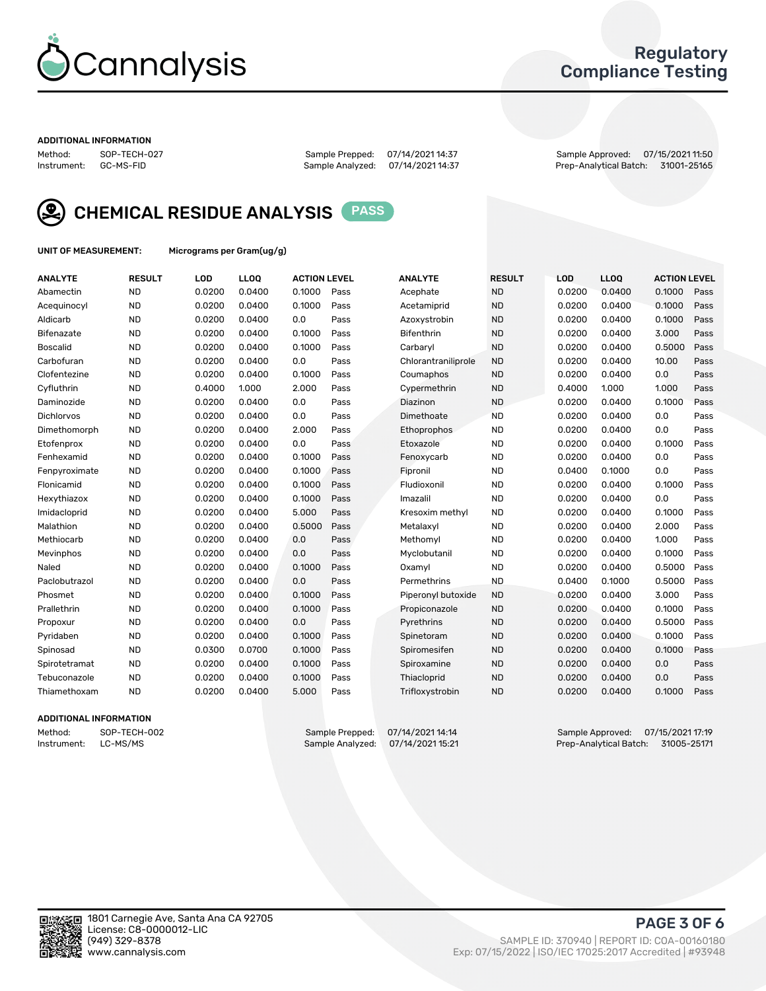

## Regulatory Compliance Testing

#### ADDITIONAL INFORMATION

Method: SOP-TECH-027 Sample Prepped: 07/14/2021 14:37 Sample Approved: 07/15/2021 11:50 Prep-Analytical Batch: 31001-25165



CHEMICAL RESIDUE ANALYSIS PASS

UNIT OF MEASUREMENT: Micrograms per Gram(ug/g)

| <b>ANALYTE</b>    | <b>RESULT</b> | LOD    | LL <sub>OO</sub> | <b>ACTION LEVEL</b> |      | <b>ANALYTE</b>      | <b>RESULT</b> | LOD    | <b>LLOQ</b> | <b>ACTION LEVEL</b> |      |
|-------------------|---------------|--------|------------------|---------------------|------|---------------------|---------------|--------|-------------|---------------------|------|
| Abamectin         | <b>ND</b>     | 0.0200 | 0.0400           | 0.1000              | Pass | Acephate            | <b>ND</b>     | 0.0200 | 0.0400      | 0.1000              | Pass |
| Acequinocyl       | <b>ND</b>     | 0.0200 | 0.0400           | 0.1000              | Pass | Acetamiprid         | <b>ND</b>     | 0.0200 | 0.0400      | 0.1000              | Pass |
| Aldicarb          | <b>ND</b>     | 0.0200 | 0.0400           | 0.0                 | Pass | Azoxystrobin        | <b>ND</b>     | 0.0200 | 0.0400      | 0.1000              | Pass |
| Bifenazate        | <b>ND</b>     | 0.0200 | 0.0400           | 0.1000              | Pass | <b>Bifenthrin</b>   | <b>ND</b>     | 0.0200 | 0.0400      | 3.000               | Pass |
| <b>Boscalid</b>   | <b>ND</b>     | 0.0200 | 0.0400           | 0.1000              | Pass | Carbaryl            | <b>ND</b>     | 0.0200 | 0.0400      | 0.5000              | Pass |
| Carbofuran        | <b>ND</b>     | 0.0200 | 0.0400           | 0.0                 | Pass | Chlorantraniliprole | <b>ND</b>     | 0.0200 | 0.0400      | 10.00               | Pass |
| Clofentezine      | <b>ND</b>     | 0.0200 | 0.0400           | 0.1000              | Pass | Coumaphos           | <b>ND</b>     | 0.0200 | 0.0400      | 0.0                 | Pass |
| Cyfluthrin        | <b>ND</b>     | 0.4000 | 1.000            | 2.000               | Pass | Cypermethrin        | <b>ND</b>     | 0.4000 | 1.000       | 1.000               | Pass |
| Daminozide        | <b>ND</b>     | 0.0200 | 0.0400           | 0.0                 | Pass | Diazinon            | <b>ND</b>     | 0.0200 | 0.0400      | 0.1000              | Pass |
| <b>Dichlorvos</b> | <b>ND</b>     | 0.0200 | 0.0400           | 0.0                 | Pass | Dimethoate          | <b>ND</b>     | 0.0200 | 0.0400      | 0.0                 | Pass |
| Dimethomorph      | <b>ND</b>     | 0.0200 | 0.0400           | 2.000               | Pass | <b>Ethoprophos</b>  | <b>ND</b>     | 0.0200 | 0.0400      | 0.0                 | Pass |
| Etofenprox        | <b>ND</b>     | 0.0200 | 0.0400           | 0.0                 | Pass | Etoxazole           | <b>ND</b>     | 0.0200 | 0.0400      | 0.1000              | Pass |
| Fenhexamid        | <b>ND</b>     | 0.0200 | 0.0400           | 0.1000              | Pass | Fenoxycarb          | <b>ND</b>     | 0.0200 | 0.0400      | 0.0                 | Pass |
| Fenpyroximate     | <b>ND</b>     | 0.0200 | 0.0400           | 0.1000              | Pass | Fipronil            | <b>ND</b>     | 0.0400 | 0.1000      | 0.0                 | Pass |
| Flonicamid        | <b>ND</b>     | 0.0200 | 0.0400           | 0.1000              | Pass | Fludioxonil         | <b>ND</b>     | 0.0200 | 0.0400      | 0.1000              | Pass |
| Hexythiazox       | <b>ND</b>     | 0.0200 | 0.0400           | 0.1000              | Pass | Imazalil            | <b>ND</b>     | 0.0200 | 0.0400      | 0.0                 | Pass |
| Imidacloprid      | <b>ND</b>     | 0.0200 | 0.0400           | 5.000               | Pass | Kresoxim methyl     | <b>ND</b>     | 0.0200 | 0.0400      | 0.1000              | Pass |
| Malathion         | <b>ND</b>     | 0.0200 | 0.0400           | 0.5000              | Pass | Metalaxyl           | <b>ND</b>     | 0.0200 | 0.0400      | 2.000               | Pass |
| Methiocarb        | <b>ND</b>     | 0.0200 | 0.0400           | 0.0                 | Pass | Methomyl            | <b>ND</b>     | 0.0200 | 0.0400      | 1.000               | Pass |
| Mevinphos         | <b>ND</b>     | 0.0200 | 0.0400           | 0.0                 | Pass | Myclobutanil        | <b>ND</b>     | 0.0200 | 0.0400      | 0.1000              | Pass |
| Naled             | <b>ND</b>     | 0.0200 | 0.0400           | 0.1000              | Pass | Oxamyl              | <b>ND</b>     | 0.0200 | 0.0400      | 0.5000              | Pass |
| Paclobutrazol     | <b>ND</b>     | 0.0200 | 0.0400           | 0.0                 | Pass | Permethrins         | <b>ND</b>     | 0.0400 | 0.1000      | 0.5000              | Pass |
| Phosmet           | <b>ND</b>     | 0.0200 | 0.0400           | 0.1000              | Pass | Piperonyl butoxide  | <b>ND</b>     | 0.0200 | 0.0400      | 3.000               | Pass |
| Prallethrin       | <b>ND</b>     | 0.0200 | 0.0400           | 0.1000              | Pass | Propiconazole       | <b>ND</b>     | 0.0200 | 0.0400      | 0.1000              | Pass |
| Propoxur          | <b>ND</b>     | 0.0200 | 0.0400           | 0.0                 | Pass | Pyrethrins          | <b>ND</b>     | 0.0200 | 0.0400      | 0.5000              | Pass |
| Pyridaben         | <b>ND</b>     | 0.0200 | 0.0400           | 0.1000              | Pass | Spinetoram          | <b>ND</b>     | 0.0200 | 0.0400      | 0.1000              | Pass |
| Spinosad          | <b>ND</b>     | 0.0300 | 0.0700           | 0.1000              | Pass | Spiromesifen        | <b>ND</b>     | 0.0200 | 0.0400      | 0.1000              | Pass |
| Spirotetramat     | <b>ND</b>     | 0.0200 | 0.0400           | 0.1000              | Pass | Spiroxamine         | <b>ND</b>     | 0.0200 | 0.0400      | 0.0                 | Pass |
| Tebuconazole      | <b>ND</b>     | 0.0200 | 0.0400           | 0.1000              | Pass | Thiacloprid         | <b>ND</b>     | 0.0200 | 0.0400      | 0.0                 | Pass |
| Thiamethoxam      | <b>ND</b>     | 0.0200 | 0.0400           | 5.000               | Pass | Trifloxystrobin     | <b>ND</b>     | 0.0200 | 0.0400      | 0.1000              | Pass |

### ADDITIONAL INFORMATION

Method: SOP-TECH-002 Sample Prepped: 07/14/2021 14:14 Sample Approved: 07/15/2021 17:19<br>Instrument: LC-MS/MS Sample Analyzed: 07/14/2021 15:21 Prep-Analytical Batch: 31005-25171 Prep-Analytical Batch: 31005-25171

PAGE 3 OF 6

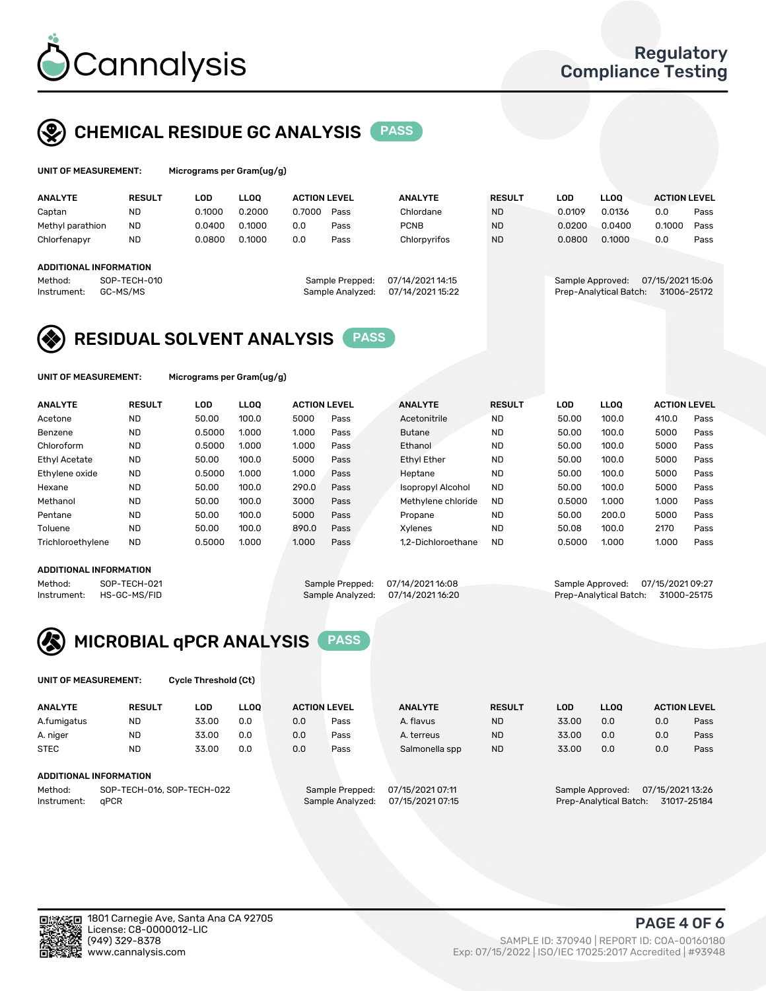

## CHEMICAL RESIDUE GC ANALYSIS PASS

| UNIT OF MEASUREMENT: | Microgr |
|----------------------|---------|
|                      |         |

rams per Gram(ug/g)

| <b>ANALYTE</b>                | <b>RESULT</b> | LOD    | <b>LLOO</b> | <b>ACTION LEVEL</b> |                  | <b>ANALYTE</b>   | <b>RESULT</b> | LOD              | <b>LLOO</b>            | <b>ACTION LEVEL</b> |      |
|-------------------------------|---------------|--------|-------------|---------------------|------------------|------------------|---------------|------------------|------------------------|---------------------|------|
| Captan                        | <b>ND</b>     | 0.1000 | 0.2000      | 0.7000              | Pass             | Chlordane        | <b>ND</b>     | 0.0109           | 0.0136                 | 0.0                 | Pass |
| Methyl parathion              | <b>ND</b>     | 0.0400 | 0.1000      | 0.0                 | Pass             | <b>PCNB</b>      | <b>ND</b>     | 0.0200           | 0.0400                 | 0.1000              | Pass |
| Chlorfenapyr                  | <b>ND</b>     | 0.0800 | 0.1000      | 0.0                 | Pass             | Chlorpyrifos     | <b>ND</b>     | 0.0800           | 0.1000                 | 0.0                 | Pass |
|                               |               |        |             |                     |                  |                  |               |                  |                        |                     |      |
| <b>ADDITIONAL INFORMATION</b> |               |        |             |                     |                  |                  |               |                  |                        |                     |      |
| Method:                       | SOP-TECH-010  |        |             |                     | Sample Prepped:  | 07/14/2021 14:15 |               | Sample Approved: |                        | 07/15/2021 15:06    |      |
| Instrument:                   | GC-MS/MS      |        |             |                     | Sample Analyzed: | 07/14/2021 15:22 |               |                  | Prep-Analytical Batch: | 31006-25172         |      |
|                               |               |        |             |                     |                  |                  |               |                  |                        |                     |      |

## RESIDUAL SOLVENT ANALYSIS PASS

UNIT OF MEASUREMENT: Micrograms per Gram(ug/g)

| <b>ANALYTE</b>    | <b>RESULT</b> | LOD    | <b>LLOO</b> | <b>ACTION LEVEL</b> |      | <b>ANALYTE</b>           | <b>RESULT</b> | LOD    | <b>LLOO</b> | <b>ACTION LEVEL</b> |      |
|-------------------|---------------|--------|-------------|---------------------|------|--------------------------|---------------|--------|-------------|---------------------|------|
| Acetone           | <b>ND</b>     | 50.00  | 100.0       | 5000                | Pass | Acetonitrile             | <b>ND</b>     | 50.00  | 100.0       | 410.0               | Pass |
| Benzene           | <b>ND</b>     | 0.5000 | 1.000       | 1.000               | Pass | <b>Butane</b>            | <b>ND</b>     | 50.00  | 100.0       | 5000                | Pass |
| Chloroform        | <b>ND</b>     | 0.5000 | 1.000       | 1.000               | Pass | Ethanol                  | <b>ND</b>     | 50.00  | 100.0       | 5000                | Pass |
| Ethyl Acetate     | <b>ND</b>     | 50.00  | 100.0       | 5000                | Pass | <b>Ethyl Ether</b>       | <b>ND</b>     | 50.00  | 100.0       | 5000                | Pass |
| Ethylene oxide    | <b>ND</b>     | 0.5000 | 1.000       | 1.000               | Pass | Heptane                  | <b>ND</b>     | 50.00  | 100.0       | 5000                | Pass |
| Hexane            | <b>ND</b>     | 50.00  | 100.0       | 290.0               | Pass | <b>Isopropyl Alcohol</b> | <b>ND</b>     | 50.00  | 100.0       | 5000                | Pass |
| Methanol          | <b>ND</b>     | 50.00  | 100.0       | 3000                | Pass | Methylene chloride       | <b>ND</b>     | 0.5000 | 1.000       | 1.000               | Pass |
| Pentane           | <b>ND</b>     | 50.00  | 100.0       | 5000                | Pass | Propane                  | <b>ND</b>     | 50.00  | 200.0       | 5000                | Pass |
| Toluene           | <b>ND</b>     | 50.00  | 100.0       | 890.0               | Pass | Xvlenes                  | <b>ND</b>     | 50.08  | 100.0       | 2170                | Pass |
| Trichloroethylene | <b>ND</b>     | 0.5000 | 1.000       | 1.000               | Pass | 1.2-Dichloroethane       | <b>ND</b>     | 0.5000 | 1.000       | 1.000               | Pass |
|                   |               |        |             |                     |      |                          |               |        |             |                     |      |

#### ADDITIONAL INFORMATION

Method: SOP-TECH-021 Sample Prepped: 07/14/2021 16:08 Sample Approved: 07/15/2021 09:27<br>Sample Analyzed: 07/14/2021 16:20 Prep-Analytical Batch: 31000-25175 Prep-Analytical Batch: 31000-25175



UNIT OF MEASUREMENT: Cycle Threshold (Ct)

| <b>ANALYTE</b>                        | <b>RESULT</b>                 | LOD   | <b>LLOO</b> |     | <b>ACTION LEVEL</b> | <b>ANALYTE</b>   | <b>RESULT</b> | LOD   | LL <sub>00</sub> |                  | <b>ACTION LEVEL</b> |
|---------------------------------------|-------------------------------|-------|-------------|-----|---------------------|------------------|---------------|-------|------------------|------------------|---------------------|
| A.fumigatus                           | <b>ND</b>                     | 33.00 | 0.0         | 0.0 | Pass                | A. flavus        | <b>ND</b>     | 33.00 | 0.0              | 0.0              | Pass                |
| A. niger                              | <b>ND</b>                     | 33.00 | 0.0         | 0.0 | Pass                | A. terreus       | <b>ND</b>     | 33.00 | 0.0              | 0.0              | Pass                |
| <b>STEC</b>                           | <b>ND</b>                     | 33.00 | 0.0         | 0.0 | Pass                | Salmonella spp   | <b>ND</b>     | 33.00 | 0.0              | 0.0              | Pass                |
|                                       | <b>ADDITIONAL INFORMATION</b> |       |             |     |                     |                  |               |       |                  |                  |                     |
| SOP-TECH-016, SOP-TECH-022<br>Method: |                               |       |             |     | Sample Prepped:     | 07/15/2021 07:11 |               |       | Sample Approved: | 07/15/2021 13:26 |                     |

Instrument: qPCR Sample Analyzed: 07/15/2021 07:15 Prep-Analytical Batch: 31017-25184

PAGE 4 OF 6

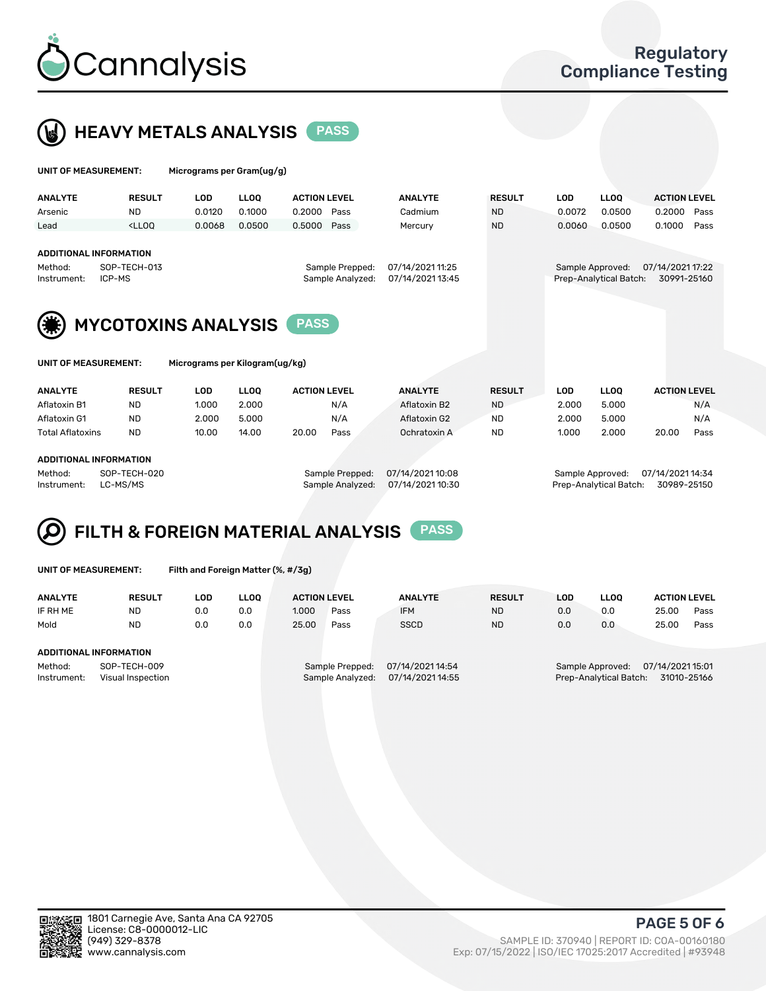



| UNIT OF MEASUREMENT:          |                                                                                                                                                                             | Micrograms per Gram(ug/g)      |             |                     |                  |                |                  |                        |                   |                     |      |  |
|-------------------------------|-----------------------------------------------------------------------------------------------------------------------------------------------------------------------------|--------------------------------|-------------|---------------------|------------------|----------------|------------------|------------------------|-------------------|---------------------|------|--|
| <b>ANALYTE</b>                | <b>RESULT</b>                                                                                                                                                               | <b>LOD</b>                     | <b>LLOO</b> | <b>ACTION LEVEL</b> |                  | <b>ANALYTE</b> | <b>RESULT</b>    | <b>LOD</b>             | LLOO <sup>1</sup> | <b>ACTION LEVEL</b> |      |  |
| Arsenic                       | <b>ND</b>                                                                                                                                                                   | 0.0120                         | 0.1000      | 0.2000              | Pass             | Cadmium        | <b>ND</b>        | 0.0072                 | 0.0500            | 0.2000              | Pass |  |
| Lead                          | <lloo< td=""><td>0.0068</td><td>0.0500</td><td>0.5000</td><td>Pass</td><td>Mercury</td><td><b>ND</b></td><td>0.0060</td><td>0.0500</td><td>0.1000</td><td>Pass</td></lloo<> | 0.0068                         | 0.0500      | 0.5000              | Pass             | Mercury        | <b>ND</b>        | 0.0060                 | 0.0500            | 0.1000              | Pass |  |
|                               |                                                                                                                                                                             |                                |             |                     |                  |                |                  |                        |                   |                     |      |  |
| <b>ADDITIONAL INFORMATION</b> |                                                                                                                                                                             |                                |             |                     |                  |                |                  |                        |                   |                     |      |  |
| SOP-TECH-013<br>Method:       |                                                                                                                                                                             |                                |             | Sample Prepped:     | 07/14/2021 11:25 |                | Sample Approved: |                        |                   | 07/14/2021 17:22    |      |  |
| ICP-MS<br>Instrument:         |                                                                                                                                                                             |                                |             | Sample Analyzed:    | 07/14/2021 13:45 |                |                  | Prep-Analytical Batch: | 30991-25160       |                     |      |  |
|                               |                                                                                                                                                                             |                                |             |                     |                  |                |                  |                        |                   |                     |      |  |
|                               | <b>MYCOTOXINS ANALYSIS</b>                                                                                                                                                  |                                |             |                     |                  |                |                  |                        |                   |                     |      |  |
| <b>UNIT OF MEASUREMENT:</b>   |                                                                                                                                                                             | Micrograms per Kilogram(ug/kg) |             |                     |                  |                |                  |                        |                   |                     |      |  |
| <b>ANALYTE</b>                | <b>RESULT</b>                                                                                                                                                               | <b>LOD</b>                     | <b>LLOO</b> | <b>ACTION LEVEL</b> |                  | <b>ANALYTE</b> | <b>RESULT</b>    | <b>LOD</b>             | <b>LLOQ</b>       | <b>ACTION LEVEL</b> |      |  |
| Aflatoxin B1                  | <b>ND</b>                                                                                                                                                                   | 1.000                          | 2.000       |                     | N/A              | Aflatoxin B2   | <b>ND</b>        | 2.000                  | 5.000             |                     | N/A  |  |

Aflatoxin G1 ND 2.000 5.000 N/A Aflatoxin G2 ND 2.000 5.000 N/A Total Aflatoxins ND 10.00 14.00 20.00 Pass Ochratoxin A ND 1.000 2.000 20.00 Pass

#### ADDITIONAL INFORMATION

Method: SOP-TECH-020 Sample Prepped: 07/14/2021 10:08 Sample Approved: 07/14/2021 14:34 Instrument: LC-MS/MS Sample Analyzed: 07/14/2021 10:30 Prep-Analytical Batch: 30989-25150

# FILTH & FOREIGN MATERIAL ANALYSIS PASS

UNIT OF MEASUREMENT: Filth and Foreign Matter (%, #/3g)

| <b>ANALYTE</b>                                              | <b>RESULT</b> | LOD | <b>LLOO</b> | <b>ACTION LEVEL</b>                                                         |      | <b>ANALYTE</b> | <b>RESULT</b> | LOD                                                                           | <b>LLOO</b> | <b>ACTION LEVEL</b> |      |
|-------------------------------------------------------------|---------------|-----|-------------|-----------------------------------------------------------------------------|------|----------------|---------------|-------------------------------------------------------------------------------|-------------|---------------------|------|
| IF RH ME                                                    | <b>ND</b>     | 0.0 | 0.0         | 1.000                                                                       | Pass | <b>IFM</b>     | <b>ND</b>     | 0.0                                                                           | 0.0         | 25.00               | Pass |
| Mold                                                        | <b>ND</b>     | 0.0 | 0.0         | 25.00                                                                       | Pass | <b>SSCD</b>    | <b>ND</b>     | 0.0                                                                           | 0.0         | 25.00               | Pass |
| ADDITIONAL INFORMATION                                      |               |     |             |                                                                             |      |                |               |                                                                               |             |                     |      |
| Method:<br>SOP-TECH-009<br>Instrument:<br>Visual Inspection |               |     |             | 07/14/2021 14:54<br>Sample Prepped:<br>07/14/2021 14:55<br>Sample Analyzed: |      |                |               | 07/14/2021 15:01<br>Sample Approved:<br>Prep-Analytical Batch:<br>31010-25166 |             |                     |      |



PAGE 5 OF 6